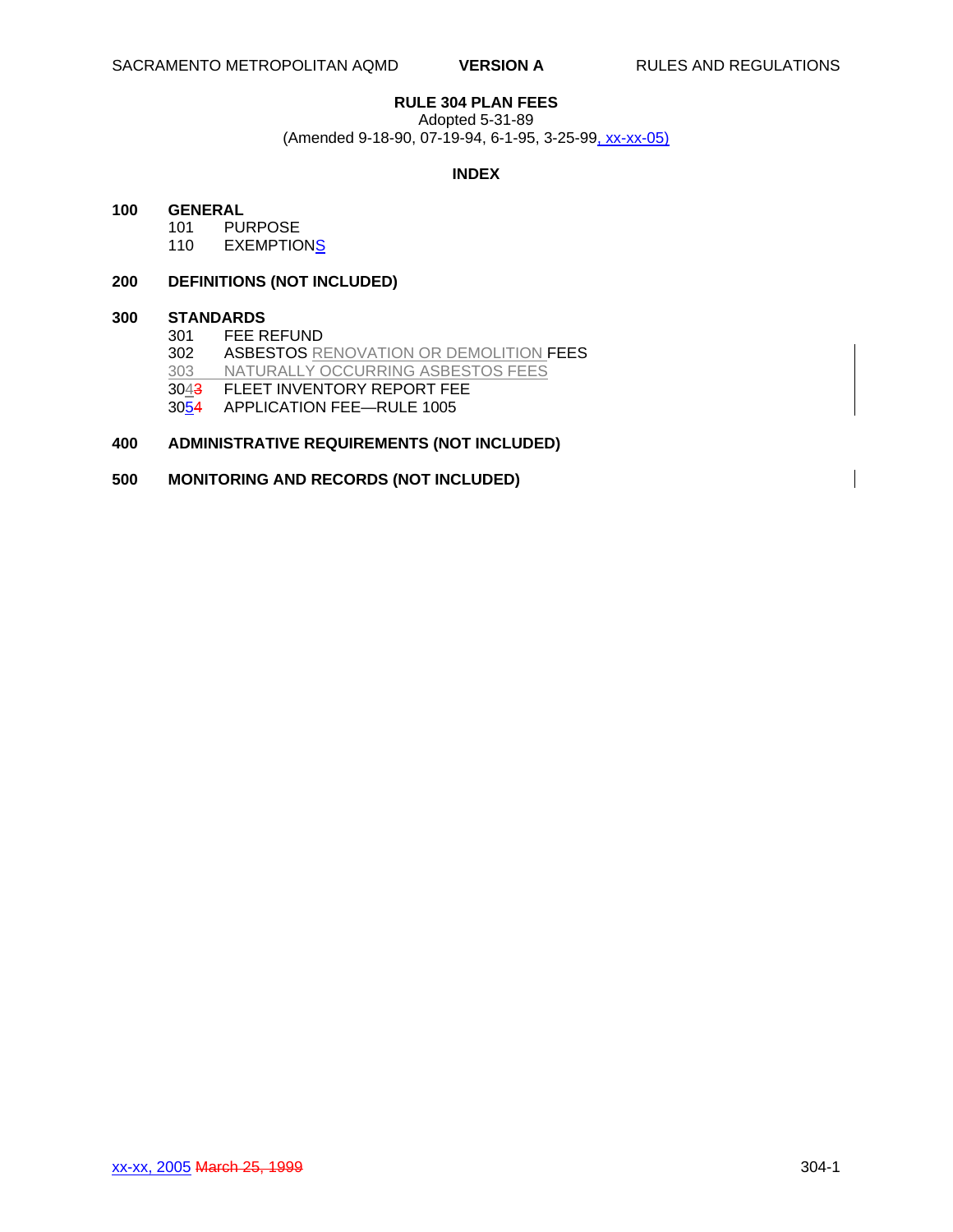# **RULE 304 PLAN FEES**

Adopted 5-31-89

(Amended 9-18-90, 07-19-94, 6-1-95, 3-25-99, xx-xx-05)

#### **INDEX**

#### **100 GENERAL**

101 PURPOSE<br>110 EXEMPTIO

**EXEMPTIONS** 

# **200 DEFINITIONS (NOT INCLUDED)**

# **300 STANDARDS**

FEE REFUND 302 ASBESTOS RENOVATION OR DEMOLITION FEES<br>303 NATURALLY OCCURRING ASBESTOS FEES NATURALLY OCCURRING ASBESTOS FEES 3043 FLEET INVENTORY REPORT FEE 3054 APPLICATION FEE—RULE 1005

# **400 ADMINISTRATIVE REQUIREMENTS (NOT INCLUDED)**

### **500 MONITORING AND RECORDS (NOT INCLUDED)**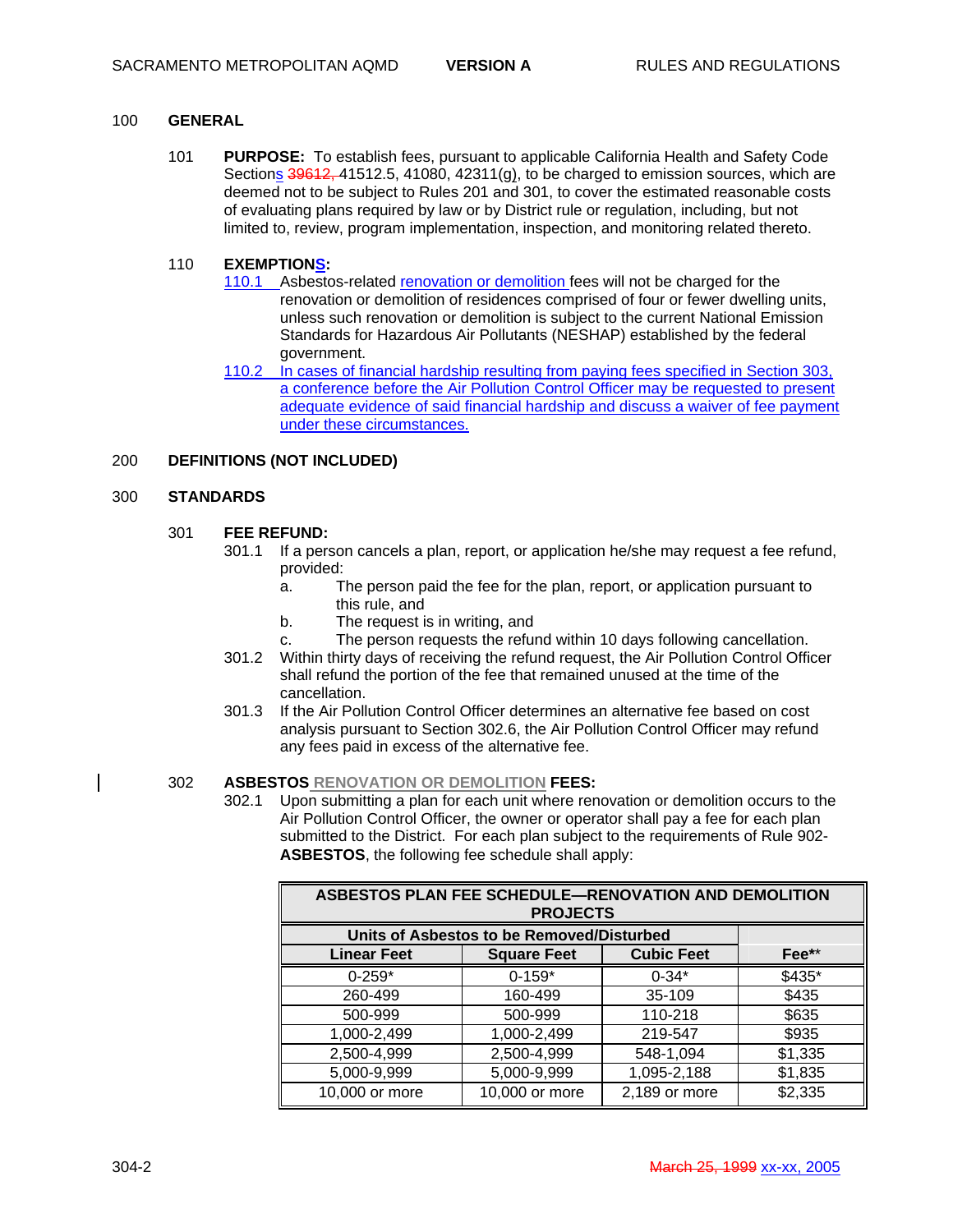#### 100 **GENERAL**

101 **PURPOSE:** To establish fees, pursuant to applicable California Health and Safety Code Sections  $39612, 41512.5, 41080, 42311(g)$ , to be charged to emission sources, which are deemed not to be subject to Rules 201 and 301, to cover the estimated reasonable costs of evaluating plans required by law or by District rule or regulation, including, but not limited to, review, program implementation, inspection, and monitoring related thereto.

#### 110 **EXEMPTIONS:**

- 110.1 Asbestos-related renovation or demolition fees will not be charged for the renovation or demolition of residences comprised of four or fewer dwelling units, unless such renovation or demolition is subject to the current National Emission Standards for Hazardous Air Pollutants (NESHAP) established by the federal government.
- 110.2 In cases of financial hardship resulting from paying fees specified in Section 303, a conference before the Air Pollution Control Officer may be requested to present adequate evidence of said financial hardship and discuss a waiver of fee payment under these circumstances.

#### 200 **DEFINITIONS (NOT INCLUDED)**

#### 300 **STANDARDS**

#### 301 **FEE REFUND:**

- 301.1 If a person cancels a plan, report, or application he/she may request a fee refund, provided:
	- a. The person paid the fee for the plan, report, or application pursuant to this rule, and
	- b. The request is in writing, and
	- c. The person requests the refund within 10 days following cancellation.
- 301.2 Within thirty days of receiving the refund request, the Air Pollution Control Officer shall refund the portion of the fee that remained unused at the time of the cancellation.
- 301.3 If the Air Pollution Control Officer determines an alternative fee based on cost analysis pursuant to Section 302.6, the Air Pollution Control Officer may refund any fees paid in excess of the alternative fee.

#### 302 **ASBESTOS RENOVATION OR DEMOLITION FEES:**

302.1 Upon submitting a plan for each unit where renovation or demolition occurs to the Air Pollution Control Officer, the owner or operator shall pay a fee for each plan submitted to the District. For each plan subject to the requirements of Rule 902- **ASBESTOS**, the following fee schedule shall apply:

| <b>ASBESTOS PLAN FEE SCHEDULE-RENOVATION AND DEMOLITION</b><br><b>PROJECTS</b> |                    |                   |         |
|--------------------------------------------------------------------------------|--------------------|-------------------|---------|
| Units of Asbestos to be Removed/Disturbed                                      |                    |                   |         |
| <b>Linear Feet</b>                                                             | <b>Square Feet</b> | <b>Cubic Feet</b> | Fee**   |
| $0 - 259*$                                                                     | $0-159*$           | $0 - 34*$         | \$435*  |
| 260-499                                                                        | 160-499            | 35-109            | \$435   |
| 500-999                                                                        | 500-999            | 110-218           | \$635   |
| 1,000-2,499                                                                    | 1,000-2,499        | 219-547           | \$935   |
| 2,500-4,999                                                                    | 2,500-4,999        | 548-1,094         | \$1,335 |
| 5,000-9,999                                                                    | 5,000-9,999        | 1,095-2,188       | \$1,835 |
| 10,000 or more                                                                 | 10,000 or more     | 2,189 or more     | \$2,335 |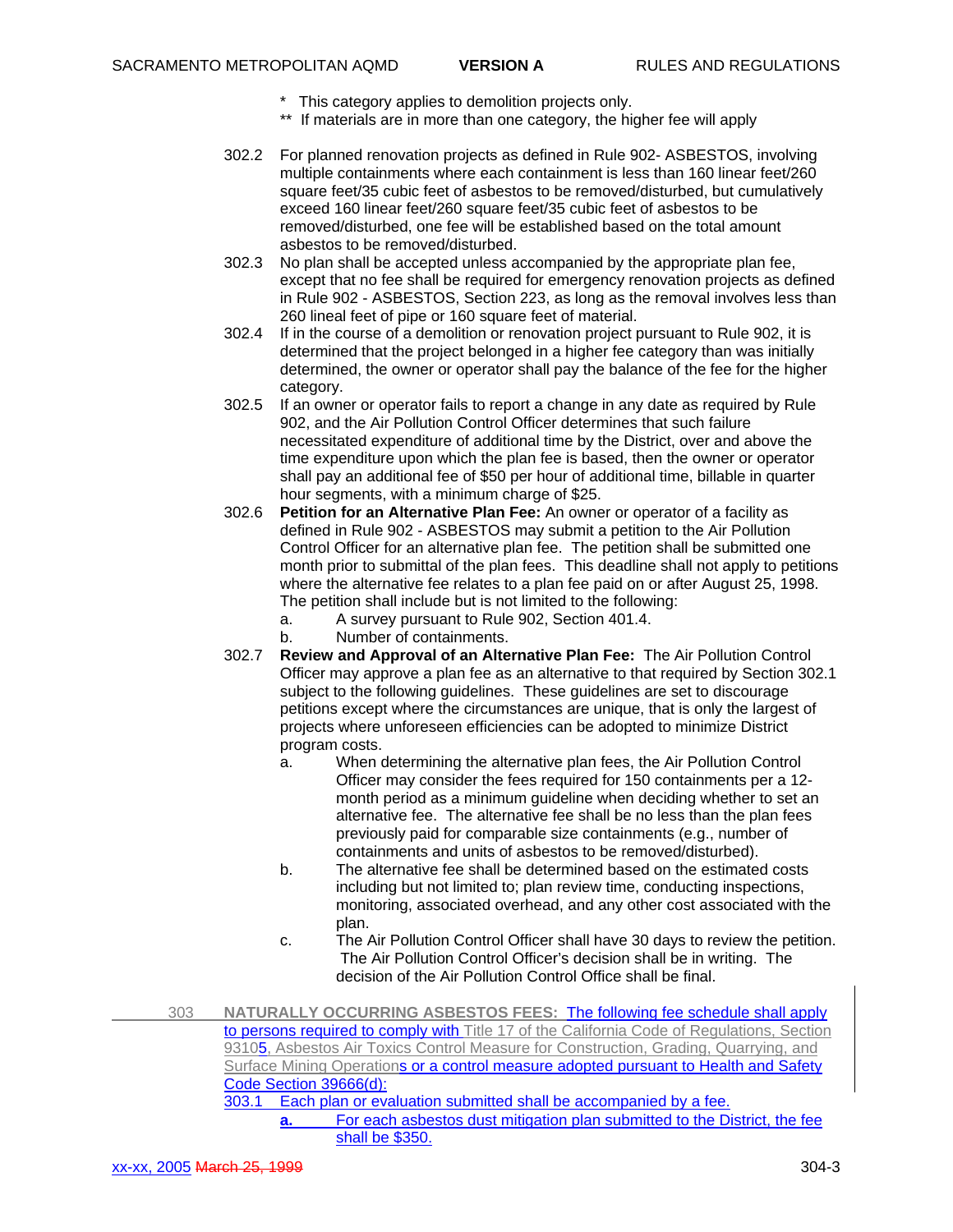- \* This category applies to demolition projects only.
- \*\* If materials are in more than one category, the higher fee will apply
- 302.2 For planned renovation projects as defined in Rule 902- ASBESTOS, involving multiple containments where each containment is less than 160 linear feet/260 square feet/35 cubic feet of asbestos to be removed/disturbed, but cumulatively exceed 160 linear feet/260 square feet/35 cubic feet of asbestos to be removed/disturbed, one fee will be established based on the total amount asbestos to be removed/disturbed.
- 302.3 No plan shall be accepted unless accompanied by the appropriate plan fee, except that no fee shall be required for emergency renovation projects as defined in Rule 902 - ASBESTOS, Section 223, as long as the removal involves less than 260 lineal feet of pipe or 160 square feet of material.
- 302.4 If in the course of a demolition or renovation project pursuant to Rule 902, it is determined that the project belonged in a higher fee category than was initially determined, the owner or operator shall pay the balance of the fee for the higher category.
- 302.5 If an owner or operator fails to report a change in any date as required by Rule 902, and the Air Pollution Control Officer determines that such failure necessitated expenditure of additional time by the District, over and above the time expenditure upon which the plan fee is based, then the owner or operator shall pay an additional fee of \$50 per hour of additional time, billable in quarter hour segments, with a minimum charge of \$25.
- 302.6 **Petition for an Alternative Plan Fee:** An owner or operator of a facility as defined in Rule 902 - ASBESTOS may submit a petition to the Air Pollution Control Officer for an alternative plan fee. The petition shall be submitted one month prior to submittal of the plan fees. This deadline shall not apply to petitions where the alternative fee relates to a plan fee paid on or after August 25, 1998. The petition shall include but is not limited to the following:
	- a. A survey pursuant to Rule 902, Section 401.4.
	- b. Number of containments.
- 302.7 **Review and Approval of an Alternative Plan Fee:** The Air Pollution Control Officer may approve a plan fee as an alternative to that required by Section 302.1 subject to the following guidelines. These guidelines are set to discourage petitions except where the circumstances are unique, that is only the largest of projects where unforeseen efficiencies can be adopted to minimize District program costs.
	- a. When determining the alternative plan fees, the Air Pollution Control Officer may consider the fees required for 150 containments per a 12 month period as a minimum guideline when deciding whether to set an alternative fee. The alternative fee shall be no less than the plan fees previously paid for comparable size containments (e.g., number of containments and units of asbestos to be removed/disturbed).
	- b. The alternative fee shall be determined based on the estimated costs including but not limited to; plan review time, conducting inspections, monitoring, associated overhead, and any other cost associated with the plan.
	- c. The Air Pollution Control Officer shall have 30 days to review the petition. The Air Pollution Control Officer's decision shall be in writing. The decision of the Air Pollution Control Office shall be final.
- 303 **NATURALLY OCCURRING ASBESTOS FEES:** The following fee schedule shall apply to persons required to comply with Title 17 of the California Code of Regulations, Section 93105, Asbestos Air Toxics Control Measure for Construction, Grading, Quarrying, and Surface Mining Operations or a control measure adopted pursuant to Health and Safety Code Section 39666(d): 303.1 Each plan or evaluation submitted shall be accompanied by a fee.
	- **a.** For each asbestos dust mitigation plan submitted to the District, the fee shall be \$350.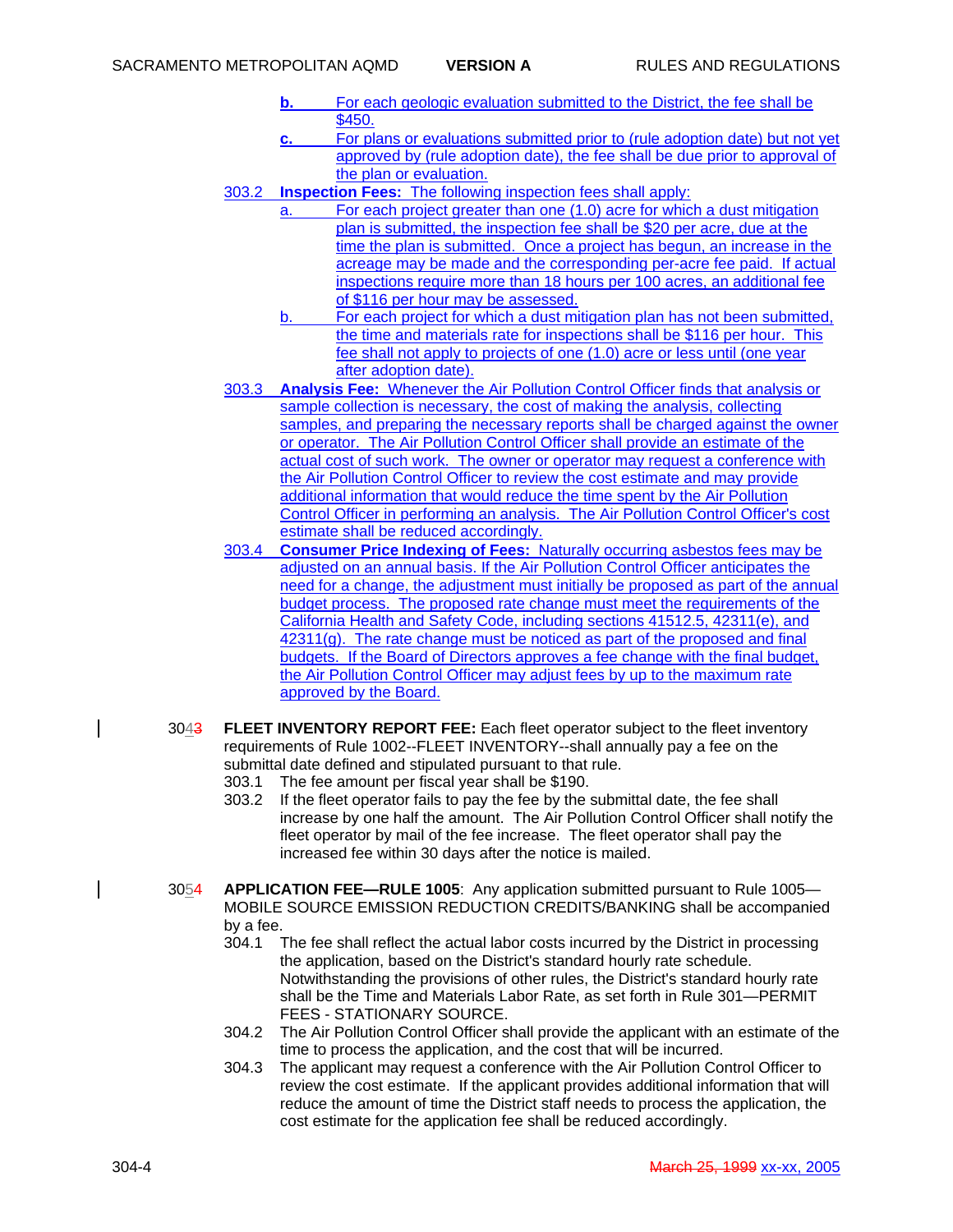- **b.** For each geologic evaluation submitted to the District, the fee shall be \$450.
- **c.** For plans or evaluations submitted prior to (rule adoption date) but not yet approved by (rule adoption date), the fee shall be due prior to approval of the plan or evaluation.
- 303.2 **Inspection Fees:** The following inspection fees shall apply:
	- a. For each project greater than one (1.0) acre for which a dust mitigation plan is submitted, the inspection fee shall be \$20 per acre, due at the time the plan is submitted. Once a project has begun, an increase in the acreage may be made and the corresponding per-acre fee paid. If actual inspections require more than 18 hours per 100 acres, an additional fee of \$116 per hour may be assessed.
	- b. For each project for which a dust mitigation plan has not been submitted, the time and materials rate for inspections shall be \$116 per hour. This fee shall not apply to projects of one (1.0) acre or less until (one year after adoption date).
- 303.3 **Analysis Fee:** Whenever the Air Pollution Control Officer finds that analysis or sample collection is necessary, the cost of making the analysis, collecting samples, and preparing the necessary reports shall be charged against the owner or operator. The Air Pollution Control Officer shall provide an estimate of the actual cost of such work. The owner or operator may request a conference with the Air Pollution Control Officer to review the cost estimate and may provide additional information that would reduce the time spent by the Air Pollution Control Officer in performing an analysis. The Air Pollution Control Officer's cost estimate shall be reduced accordingly.
- 303.4 **Consumer Price Indexing of Fees:** Naturally occurring asbestos fees may be adjusted on an annual basis. If the Air Pollution Control Officer anticipates the need for a change, the adjustment must initially be proposed as part of the annual budget process. The proposed rate change must meet the requirements of the California Health and Safety Code, including sections 41512.5, 42311(e), and 42311(g). The rate change must be noticed as part of the proposed and final budgets. If the Board of Directors approves a fee change with the final budget, the Air Pollution Control Officer may adjust fees by up to the maximum rate approved by the Board.
- 3043 **FLEET INVENTORY REPORT FEE:** Each fleet operator subject to the fleet inventory requirements of Rule 1002--FLEET INVENTORY--shall annually pay a fee on the submittal date defined and stipulated pursuant to that rule.
	- 303.1 The fee amount per fiscal year shall be \$190.
	- 303.2 If the fleet operator fails to pay the fee by the submittal date, the fee shall increase by one half the amount. The Air Pollution Control Officer shall notify the fleet operator by mail of the fee increase. The fleet operator shall pay the increased fee within 30 days after the notice is mailed.
- 3054 **APPLICATION FEE—RULE 1005**: Any application submitted pursuant to Rule 1005— MOBILE SOURCE EMISSION REDUCTION CREDITS/BANKING shall be accompanied by a fee.
	- 304.1 The fee shall reflect the actual labor costs incurred by the District in processing the application, based on the District's standard hourly rate schedule. Notwithstanding the provisions of other rules, the District's standard hourly rate shall be the Time and Materials Labor Rate, as set forth in Rule 301—PERMIT FEES - STATIONARY SOURCE.
	- 304.2 The Air Pollution Control Officer shall provide the applicant with an estimate of the time to process the application, and the cost that will be incurred.
	- 304.3 The applicant may request a conference with the Air Pollution Control Officer to review the cost estimate. If the applicant provides additional information that will reduce the amount of time the District staff needs to process the application, the cost estimate for the application fee shall be reduced accordingly.